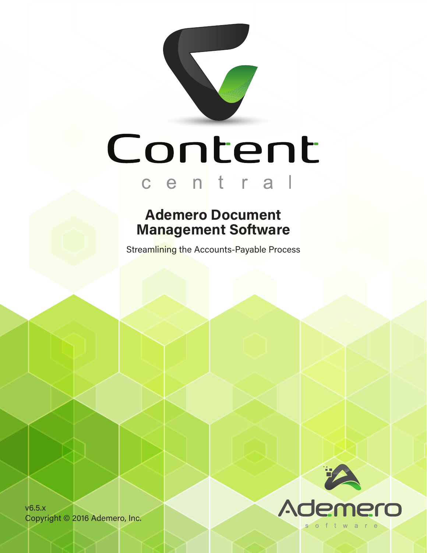

### **Ademero Document Management Software**

Streamlining the Accounts-Payable Process

v6.5.x Copyright © 2016 Ademero, Inc.

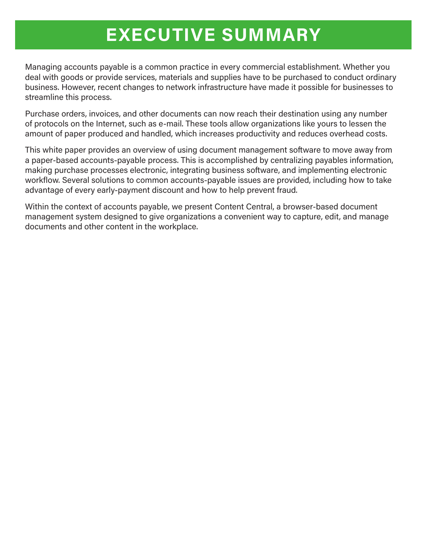## **EXECUTIVE SUMMARY**

Managing accounts payable is a common practice in every commercial establishment. Whether you deal with goods or provide services, materials and supplies have to be purchased to conduct ordinary business. However, recent changes to network infrastructure have made it possible for businesses to streamline this process.

Purchase orders, invoices, and other documents can now reach their destination using any number of protocols on the Internet, such as e-mail. These tools allow organizations like yours to lessen the amount of paper produced and handled, which increases productivity and reduces overhead costs.

This white paper provides an overview of using document management software to move away from a paper-based accounts-payable process. This is accomplished by centralizing payables information, making purchase processes electronic, integrating business software, and implementing electronic workflow. Several solutions to common accounts-payable issues are provided, including how to take advantage of every early-payment discount and how to help prevent fraud.

Within the context of accounts payable, we present Content Central, a browser-based document management system designed to give organizations a convenient way to capture, edit, and manage documents and other content in the workplace.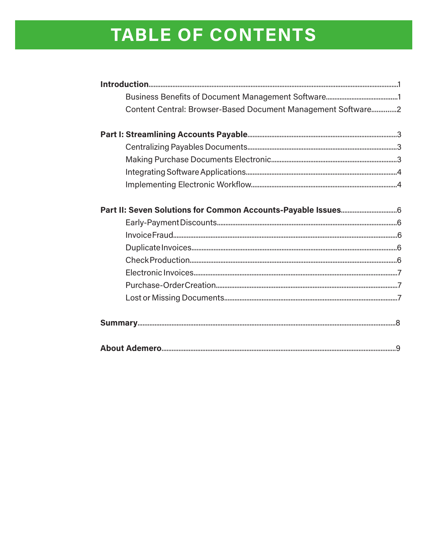# TABLE OF CONTENTS

| Content Central: Browser-Based Document Management Software2 |  |
|--------------------------------------------------------------|--|
|                                                              |  |
|                                                              |  |
|                                                              |  |
|                                                              |  |
|                                                              |  |
|                                                              |  |
|                                                              |  |
|                                                              |  |
|                                                              |  |
|                                                              |  |
|                                                              |  |
|                                                              |  |
|                                                              |  |
|                                                              |  |
|                                                              |  |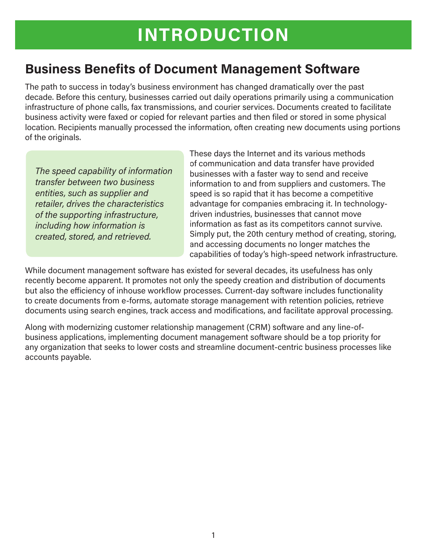### **Business Benefits of Document Management Software**

The path to success in today's business environment has changed dramatically over the past decade. Before this century, businesses carried out daily operations primarily using a communication infrastructure of phone calls, fax transmissions, and courier services. Documents created to facilitate business activity were faxed or copied for relevant parties and then filed or stored in some physical location. Recipients manually processed the information, often creating new documents using portions of the originals.

*The speed capability of information transfer between two business entities, such as supplier and retailer, drives the characteristics of the supporting infrastructure, including how information is created, stored, and retrieved.*

These days the Internet and its various methods of communication and data transfer have provided businesses with a faster way to send and receive information to and from suppliers and customers. The speed is so rapid that it has become a competitive advantage for companies embracing it. In technologydriven industries, businesses that cannot move information as fast as its competitors cannot survive. Simply put, the 20th century method of creating, storing, and accessing documents no longer matches the capabilities of today's high-speed network infrastructure.

While document management software has existed for several decades, its usefulness has only recently become apparent. It promotes not only the speedy creation and distribution of documents but also the efficiency of inhouse workflow processes. Current-day software includes functionality to create documents from e-forms, automate storage management with retention policies, retrieve documents using search engines, track access and modifications, and facilitate approval processing.

Along with modernizing customer relationship management (CRM) software and any line-ofbusiness applications, implementing document management software should be a top priority for any organization that seeks to lower costs and streamline document-centric business processes like accounts payable.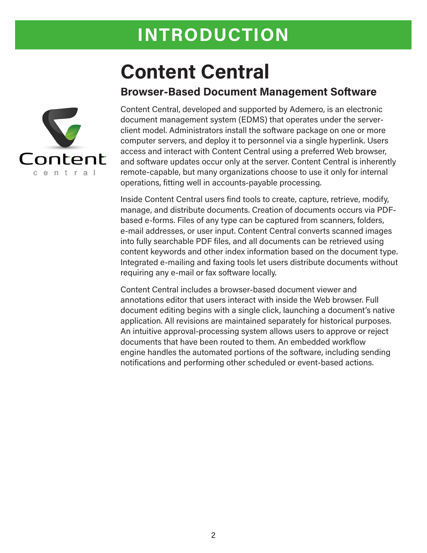## **INTRODUCTION**

# **Content Central**

#### **Browser-Based Document Management Software**



Content Central, developed and supported by Ademero, is an electronic document management system (EDMS) that operates under the serverclient model. Administrators install the software package on one or more computer servers, and deploy it to personnel via a single hyperlink. Users access and interact with Content Central using a preferred Web browser, and software updates occur only at the server. Content Central is inherently remote-capable, but many organizations choose to use it only for internal operations, fitting well in accounts-payable processing.

Inside Content Central users find tools to create, capture, retrieve, modify, manage, and distribute documents. Creation of documents occurs via PDFbased e-forms. Files of any type can be captured from scanners, folders, e-mail addresses, or user input. Content Central converts scanned images into fully searchable PDF files, and all documents can be retrieved using content keywords and other index information based on the document type. Integrated e-mailing and faxing tools let users distribute documents without requiring any e-mail or fax software locally.

Content Central includes a browser-based document viewer and annotations editor that users interact with inside the Web browser. Full document editing begins with a single click, launching a document's native application. All revisions are maintained separately for historical purposes. An intuitive approval-processing system allows users to approve or reject documents that have been routed to them. An embedded workflow engine handles the automated portions of the software, including sending notifications and performing other scheduled or event-based actions.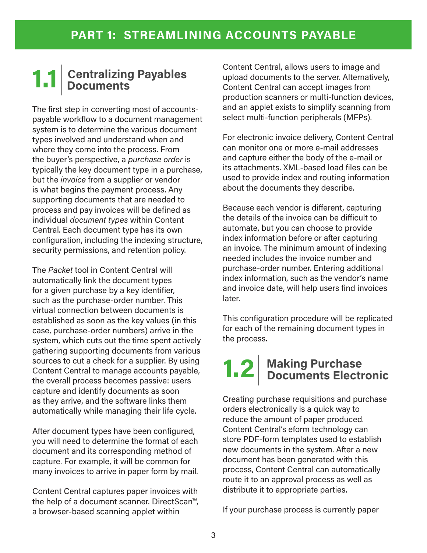## **1.1**| **Centralizing Payables** *Documents*

The first step in converting most of accountspayable workflow to a document management system is to determine the various document types involved and understand when and where they come into the process. From the buyer's perspective, a *purchase order* is typically the key document type in a purchase, but the *invoice* from a supplier or vendor is what begins the payment process. Any supporting documents that are needed to process and pay invoices will be defined as individual *document types* within Content Central. Each document type has its own configuration, including the indexing structure, security permissions, and retention policy.

The *Packet* tool in Content Central will automatically link the document types for a given purchase by a key identifier, such as the purchase-order number. This virtual connection between documents is established as soon as the key values (in this case, purchase-order numbers) arrive in the system, which cuts out the time spent actively gathering supporting documents from various sources to cut a check for a supplier. By using Content Central to manage accounts payable, the overall process becomes passive: users capture and identify documents as soon as they arrive, and the software links them automatically while managing their life cycle.

After document types have been configured, you will need to determine the format of each document and its corresponding method of capture. For example, it will be common for many invoices to arrive in paper form by mail.

Content Central captures paper invoices with the help of a document scanner. DirectScan™, a browser-based scanning applet within

Content Central, allows users to image and upload documents to the server. Alternatively, Content Central can accept images from production scanners or multi-function devices, and an applet exists to simplify scanning from select multi-function peripherals (MFPs).

For electronic invoice delivery, Content Central can monitor one or more e-mail addresses and capture either the body of the e-mail or its attachments. XML-based load files can be used to provide index and routing information about the documents they describe.

Because each vendor is different, capturing the details of the invoice can be difficult to automate, but you can choose to provide index information before or after capturing an invoice. The minimum amount of indexing needed includes the invoice number and purchase-order number. Entering additional index information, such as the vendor's name and invoice date, will help users find invoices later.

This configuration procedure will be replicated for each of the remaining document types in the process.

## **1.2**| **Making Purchase Example 2 Documents Electronic**

Creating purchase requisitions and purchase orders electronically is a quick way to reduce the amount of paper produced. Content Central's eform technology can store PDF-form templates used to establish new documents in the system. After a new document has been generated with this process, Content Central can automatically route it to an approval process as well as distribute it to appropriate parties.

If your purchase process is currently paper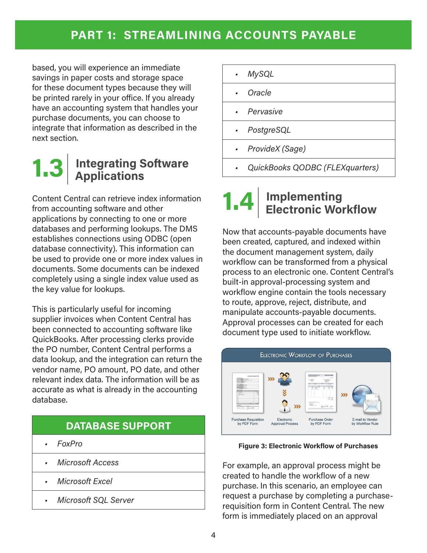### **PART 1: STREAMLINING ACCOUNTS PAYABLE**

based, you will experience an immediate savings in paper costs and storage space for these document types because they will be printed rarely in your office. If you already have an accounting system that handles your purchase documents, you can choose to integrate that information as described in the next section.

## **1.3 <u>Integrating Software</u> Applications**

Content Central can retrieve index information from accounting software and other applications by connecting to one or more databases and performing lookups. The DMS establishes connections using ODBC (open database connectivity). This information can be used to provide one or more index values in documents. Some documents can be indexed completely using a single index value used as the key value for lookups.

This is particularly useful for incoming supplier invoices when Content Central has been connected to accounting software like QuickBooks. After processing clerks provide the PO number, Content Central performs a data lookup, and the integration can return the vendor name, PO amount, PO date, and other relevant index data. The information will be as accurate as what is already in the accounting database.

#### **DATABASE SUPPORT**

- *• FoxPro*
- *• Microsoft Access*
- *• Microsoft Excel*
- *• Microsoft SQL Server*

| $\blacksquare$ | <b>MySQL</b> |
|----------------|--------------|
| ×              | Oracle       |

- *• Pervasive*
- *• PostgreSQL*
- *• ProvideX (Sage)*
- *• QuickBooks QODBC (FLEXquarters)*

#### **1.4**| **Implementing Electronic Workflow**

Now that accounts-payable documents have been created, captured, and indexed within the document management system, daily workflow can be transformed from a physical process to an electronic one. Content Central's built-in approval-processing system and workflow engine contain the tools necessary to route, approve, reject, distribute, and manipulate accounts-payable documents. Approval processes can be created for each document type used to initiate workflow.



#### **Figure 3: Electronic Workflow of Purchases**

For example, an approval process might be created to handle the workflow of a new purchase. In this scenario, an employee can request a purchase by completing a purchaserequisition form in Content Central. The new form is immediately placed on an approval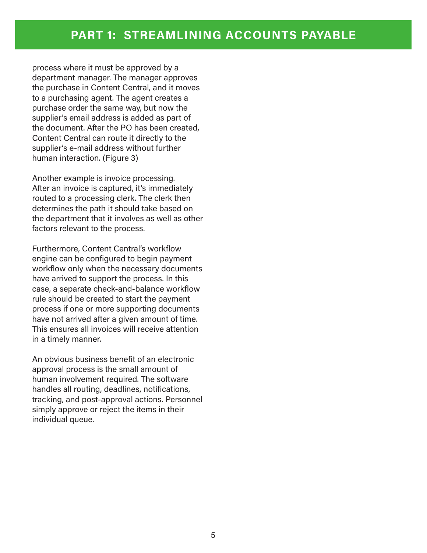process where it must be approved by a department manager. The manager approves the purchase in Content Central, and it moves to a purchasing agent. The agent creates a purchase order the same way, but now the supplier's email address is added as part of the document. After the PO has been created, Content Central can route it directly to the supplier's e-mail address without further human interaction. (Figure 3)

Another example is invoice processing. After an invoice is captured, it's immediately routed to a processing clerk. The clerk then determines the path it should take based on the department that it involves as well as other factors relevant to the process.

Furthermore, Content Central's workflow engine can be configured to begin payment workflow only when the necessary documents have arrived to support the process. In this case, a separate check-and-balance workflow rule should be created to start the payment process if one or more supporting documents have not arrived after a given amount of time. This ensures all invoices will receive attention in a timely manner.

An obvious business benefit of an electronic approval process is the small amount of human involvement required. The software handles all routing, deadlines, notifications, tracking, and post-approval actions. Personnel simply approve or reject the items in their individual queue.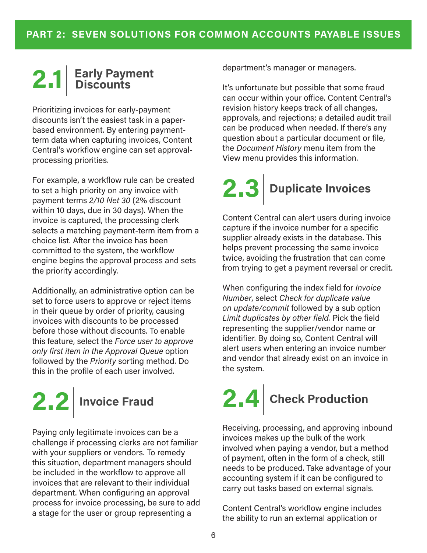## **2.1**| **Early Payment Discounts**

Prioritizing invoices for early-payment discounts isn't the easiest task in a paperbased environment. By entering paymentterm data when capturing invoices, Content Central's workflow engine can set approvalprocessing priorities.

For example, a workflow rule can be created to set a high priority on any invoice with payment terms *2/10 Net 30* (2% discount within 10 days, due in 30 days). When the invoice is captured, the processing clerk selects a matching payment-term item from a choice list. After the invoice has been committed to the system, the workflow engine begins the approval process and sets the priority accordingly.

Additionally, an administrative option can be set to force users to approve or reject items in their queue by order of priority, causing invoices with discounts to be processed before those without discounts. To enable this feature, select the *Force user to approve only first item in the Approval Queue* option followed by the *Priority* sorting method. Do this in the profile of each user involved.

# **2.2**| **Invoice Fraud**

Paying only legitimate invoices can be a challenge if processing clerks are not familiar with your suppliers or vendors. To remedy this situation, department managers should be included in the workflow to approve all invoices that are relevant to their individual department. When configuring an approval process for invoice processing, be sure to add a stage for the user or group representing a

department's manager or managers.

It's unfortunate but possible that some fraud can occur within your office. Content Central's revision history keeps track of all changes, approvals, and rejections; a detailed audit trail can be produced when needed. If there's any question about a particular document or file, the *Document History* menu item from the View menu provides this information.

# **2.3**| **Duplicate Invoices**

Content Central can alert users during invoice capture if the invoice number for a specific supplier already exists in the database. This helps prevent processing the same invoice twice, avoiding the frustration that can come from trying to get a payment reversal or credit.

When configuring the index field for *Invoice Number*, select *Check for duplicate value on update/commit* followed by a sub option *Limit duplicates by other field.* Pick the field representing the supplier/vendor name or identifier. By doing so, Content Central will alert users when entering an invoice number and vendor that already exist on an invoice in the system.

# **2.4**| **Check Production**

Receiving, processing, and approving inbound invoices makes up the bulk of the work involved when paying a vendor, but a method of payment, often in the form of a check, still needs to be produced. Take advantage of your accounting system if it can be configured to carry out tasks based on external signals.

Content Central's workflow engine includes the ability to run an external application or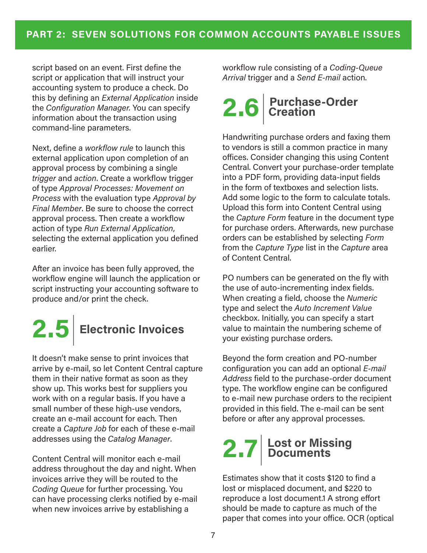script based on an event. First define the script or application that will instruct your accounting system to produce a check. Do this by defining an *External Application* inside the *Configuration Manager.* You can specify information about the transaction using command-line parameters.

Next, define a *workflow rule* to launch this external application upon completion of an approval process by combining a single *trigger* and *action*. Create a workflow trigger of type *Approval Processes: Movement on Process* with the evaluation type *Approval by Final Member*. Be sure to choose the correct approval process. Then create a workflow action of type *Run External Application*, selecting the external application you defined earlier.

After an invoice has been fully approved, the workflow engine will launch the application or script instructing your accounting software to produce and/or print the check.

**2.5**| **Electronic Invoices**

It doesn't make sense to print invoices that arrive by e-mail, so let Content Central capture them in their native format as soon as they show up. This works best for suppliers you work with on a regular basis. If you have a small number of these high-use vendors, create an e-mail account for each. Then create a *Capture Job* for each of these e-mail addresses using the *Catalog Manager*.

Content Central will monitor each e-mail address throughout the day and night. When invoices arrive they will be routed to the *Coding Queue* for further processing. You can have processing clerks notified by e-mail when new invoices arrive by establishing a

workflow rule consisting of a *Coding-Queue Arrival* trigger and a *Send E-mail* action.

## **2.6**| **Purchase-Order**  *<u>L*</u>, **D Creation**

Handwriting purchase orders and faxing them to vendors is still a common practice in many offices. Consider changing this using Content Central. Convert your purchase-order template into a PDF form, providing data-input fields in the form of textboxes and selection lists. Add some logic to the form to calculate totals. Upload this form into Content Central using the *Capture Form* feature in the document type for purchase orders. Afterwards, new purchase orders can be established by selecting *Form* from the *Capture Type* list in the *Capture* area of Content Central.

PO numbers can be generated on the fly with the use of auto-incrementing index fields. When creating a field, choose the *Numeric* type and select the *Auto Increment Value* checkbox. Initially, you can specify a start value to maintain the numbering scheme of your existing purchase orders.

Beyond the form creation and PO-number configuration you can add an optional *E-mail Address* field to the purchase-order document type. The workflow engine can be configured to e-mail new purchase orders to the recipient provided in this field. The e-mail can be sent before or after any approval processes.

# **2.7**| **Lost or Missing Documents**

Estimates show that it costs \$120 to find a lost or misplaced document, and \$220 to reproduce a lost document.1 A strong effort should be made to capture as much of the paper that comes into your office. OCR (optical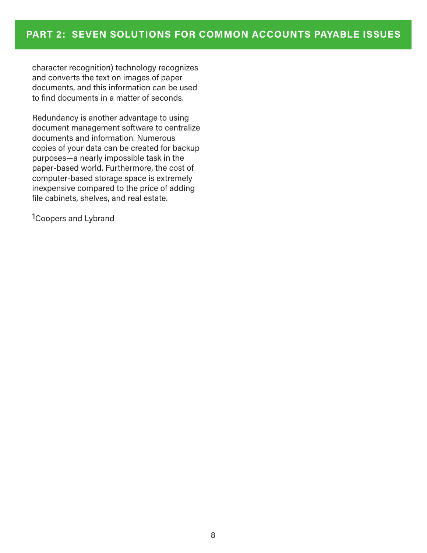character recognition) technology recognizes and converts the text on images of paper documents, and this information can be used to find documents in a matter of seconds.

Redundancy is another advantage to using document management software to centralize documents and information. Numerous copies of your data can be created for backup purposes—a nearly impossible task in the paper-based world. Furthermore, the cost of computer-based storage space is extremely inexpensive compared to the price of adding file cabinets, shelves, and real estate.

1Coopers and Lybrand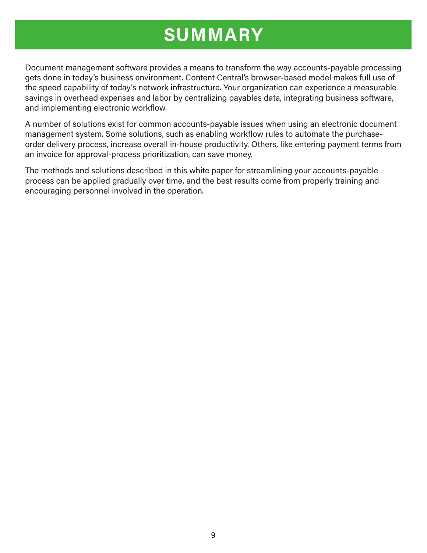## **SUMMARY**

Document management software provides a means to transform the way accounts-payable processing gets done in today's business environment. Content Central's browser-based model makes full use of the speed capability of today's network infrastructure. Your organization can experience a measurable savings in overhead expenses and labor by centralizing payables data, integrating business software, and implementing electronic workflow.

A number of solutions exist for common accounts-payable issues when using an electronic document management system. Some solutions, such as enabling workflow rules to automate the purchaseorder delivery process, increase overall in-house productivity. Others, like entering payment terms from an invoice for approval-process prioritization, can save money.

The methods and solutions described in this white paper for streamlining your accounts-payable process can be applied gradually over time, and the best results come from properly training and encouraging personnel involved in the operation.